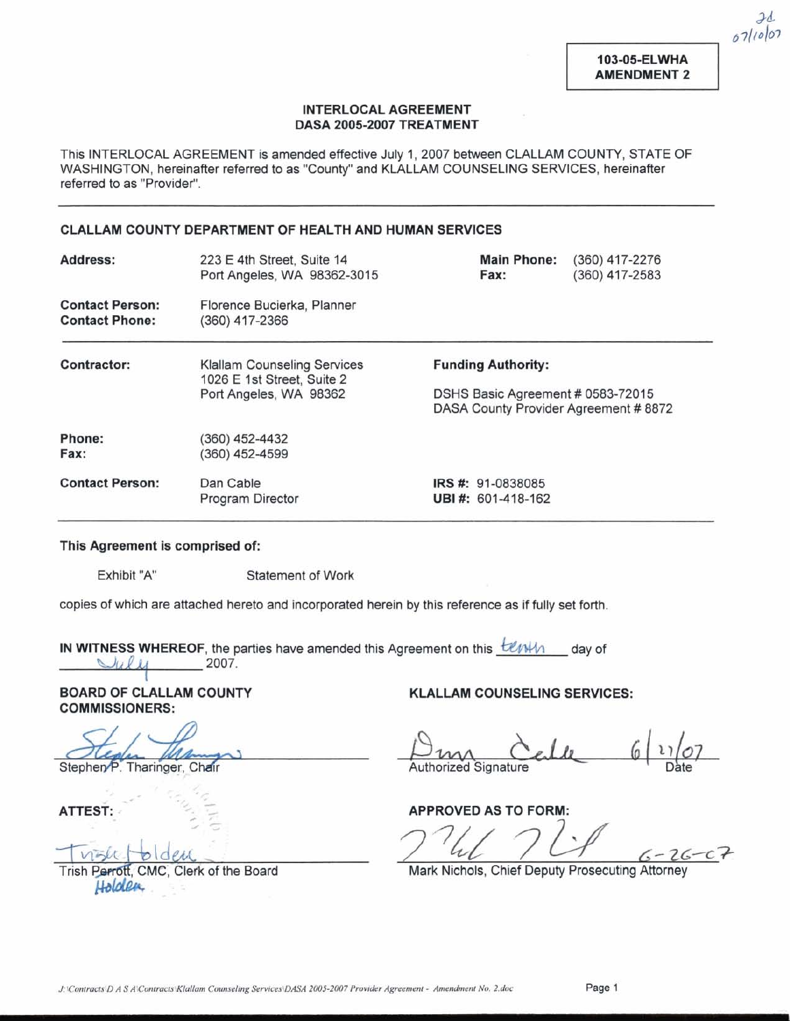103-05-ELWHA **AMENDMENT 2** 

 $2d$  $67110007$ 

## **INTERLOCAL AGREEMENT DASA 2005-2007 TREATMENT**

This INTERLOCAL AGREEMENT is amended effective July 1,2007 between CLALLAM COUNTY, STATE OF WASHINGTON, hereinafter referred to as "County" and KIALLAM COUNSELING SERVICES, hereinafter referred to as "Provider".

## **CLALLAM COUNTY DEPARTMENT OF HEALTH AND HUMAN SERVICES**

| Address:                                        | 223 E 4th Street, Suite 14<br>Port Angeles, WA 98362-3015        | <b>Main Phone:</b><br>Fax:                                                 | (360) 417-2276<br>$(360)$ 417-2583 |
|-------------------------------------------------|------------------------------------------------------------------|----------------------------------------------------------------------------|------------------------------------|
| <b>Contact Person:</b><br><b>Contact Phone:</b> | Florence Bucierka, Planner<br>(360) 417-2366                     |                                                                            |                                    |
| Contractor:                                     | <b>Klallam Counseling Services</b><br>1026 E 1st Street, Suite 2 | <b>Funding Authority:</b>                                                  |                                    |
|                                                 | Port Angeles, WA 98362                                           | DSHS Basic Agreement # 0583-72015<br>DASA County Provider Agreement # 8872 |                                    |
| Phone:                                          | (360) 452-4432                                                   |                                                                            |                                    |
| Fax:                                            | (360) 452-4599                                                   |                                                                            |                                    |
| <b>Contact Person:</b>                          | Dan Cable                                                        | <b>IRS #: 91-0838085</b>                                                   |                                    |
|                                                 | Program Director                                                 | UBI#: 601-418-162                                                          |                                    |

## **This Agreement is comprised of:**

Exhibit "A" Statement of Work

*7* 

copies of which are attached hereto and incorporated herein by this reference as if fully set forth.

**IN WITNESS WHEREOF**, the parties have amended this Agreement on this *blanch* day of **'LA g 1~** 2007.

**BOARD OF CLALLAM COUNTY COMMISSIONERS:** 

Stephen P. Tharinger, Chair

ATTEST:

Trish Perrott, CMC. Clerk of the Board Holden

**KLALLAM COUNSELING SERVICES:** 

Authorized Signature

**APPROVED AS TO FORM:** 

 $-26-c$ 

Mark Nichols, Chief Deputy Prosecuting Attorney